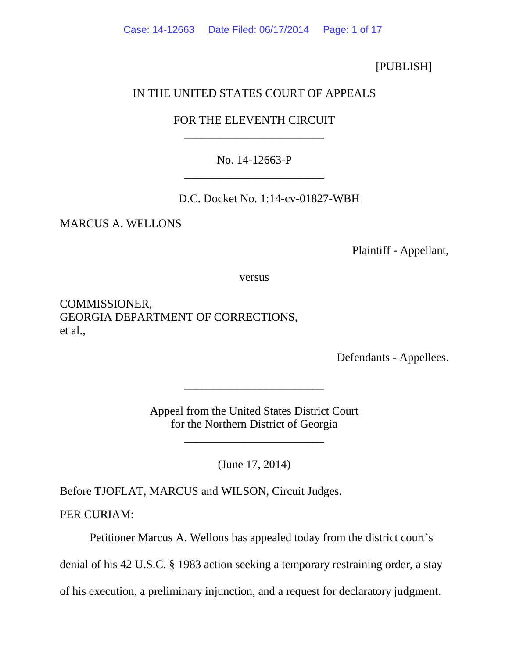[PUBLISH]

# IN THE UNITED STATES COURT OF APPEALS

# FOR THE ELEVENTH CIRCUIT \_\_\_\_\_\_\_\_\_\_\_\_\_\_\_\_\_\_\_\_\_\_\_\_

No. 14-12663-P \_\_\_\_\_\_\_\_\_\_\_\_\_\_\_\_\_\_\_\_\_\_\_\_

D.C. Docket No. 1:14-cv-01827-WBH

MARCUS A. WELLONS

Plaintiff - Appellant,

versus

COMMISSIONER, GEORGIA DEPARTMENT OF CORRECTIONS, et al.,

Defendants - Appellees.

Appeal from the United States District Court for the Northern District of Georgia

\_\_\_\_\_\_\_\_\_\_\_\_\_\_\_\_\_\_\_\_\_\_\_\_

\_\_\_\_\_\_\_\_\_\_\_\_\_\_\_\_\_\_\_\_\_\_\_\_

(June 17, 2014)

Before TJOFLAT, MARCUS and WILSON, Circuit Judges.

PER CURIAM:

Petitioner Marcus A. Wellons has appealed today from the district court's

denial of his 42 U.S.C. § 1983 action seeking a temporary restraining order, a stay

of his execution, a preliminary injunction, and a request for declaratory judgment.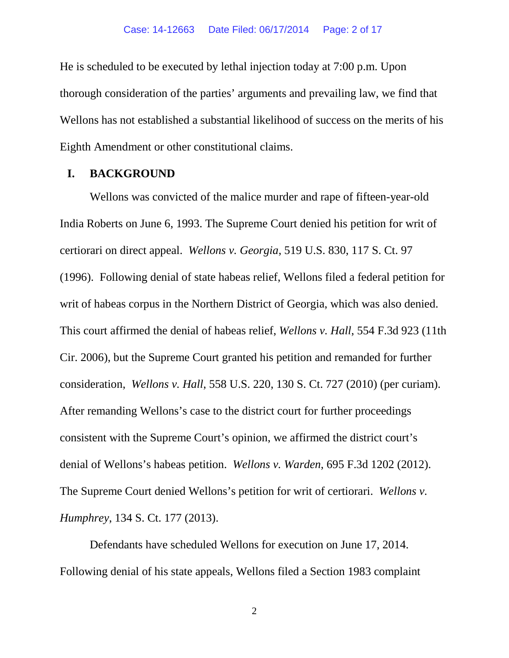He is scheduled to be executed by lethal injection today at 7:00 p.m. Upon thorough consideration of the parties' arguments and prevailing law, we find that Wellons has not established a substantial likelihood of success on the merits of his Eighth Amendment or other constitutional claims.

### **I. BACKGROUND**

Wellons was convicted of the malice murder and rape of fifteen-year-old India Roberts on June 6, 1993. The Supreme Court denied his petition for writ of certiorari on direct appeal. *Wellons v. Georgia*, 519 U.S. 830, 117 S. Ct. 97 (1996). Following denial of state habeas relief, Wellons filed a federal petition for writ of habeas corpus in the Northern District of Georgia, which was also denied. This court affirmed the denial of habeas relief, *Wellons v. Hall*, 554 F.3d 923 (11th Cir. 2006), but the Supreme Court granted his petition and remanded for further consideration, *Wellons v. Hall*, 558 U.S. 220, 130 S. Ct. 727 (2010) (per curiam). After remanding Wellons's case to the district court for further proceedings consistent with the Supreme Court's opinion, we affirmed the district court's denial of Wellons's habeas petition. *Wellons v. Warden*, 695 F.3d 1202 (2012). The Supreme Court denied Wellons's petition for writ of certiorari. *Wellons v. Humphrey*, 134 S. Ct. 177 (2013).

Defendants have scheduled Wellons for execution on June 17, 2014. Following denial of his state appeals, Wellons filed a Section 1983 complaint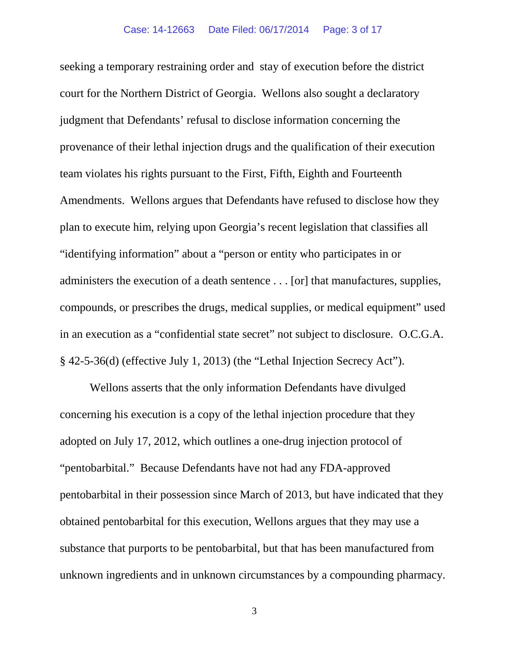seeking a temporary restraining order and stay of execution before the district court for the Northern District of Georgia. Wellons also sought a declaratory judgment that Defendants' refusal to disclose information concerning the provenance of their lethal injection drugs and the qualification of their execution team violates his rights pursuant to the First, Fifth, Eighth and Fourteenth Amendments. Wellons argues that Defendants have refused to disclose how they plan to execute him, relying upon Georgia's recent legislation that classifies all "identifying information" about a "person or entity who participates in or administers the execution of a death sentence . . . [or] that manufactures, supplies, compounds, or prescribes the drugs, medical supplies, or medical equipment" used in an execution as a "confidential state secret" not subject to disclosure. O.C.G.A. § 42-5-36(d) (effective July 1, 2013) (the "Lethal Injection Secrecy Act").

Wellons asserts that the only information Defendants have divulged concerning his execution is a copy of the lethal injection procedure that they adopted on July 17, 2012, which outlines a one-drug injection protocol of "pentobarbital." Because Defendants have not had any FDA-approved pentobarbital in their possession since March of 2013, but have indicated that they obtained pentobarbital for this execution, Wellons argues that they may use a substance that purports to be pentobarbital, but that has been manufactured from unknown ingredients and in unknown circumstances by a compounding pharmacy.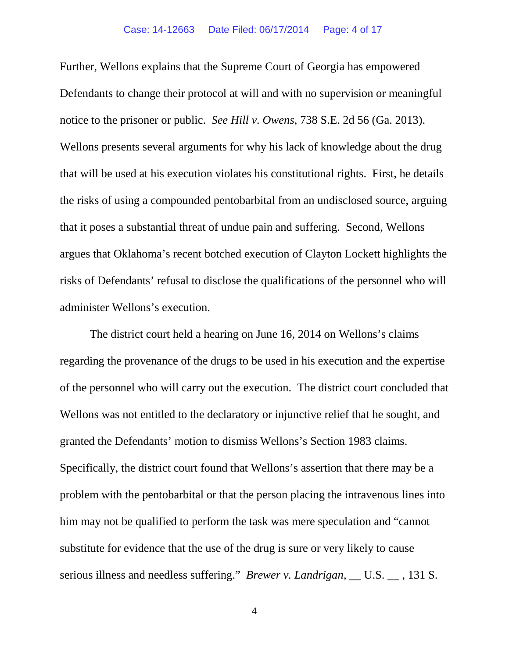Further, Wellons explains that the Supreme Court of Georgia has empowered Defendants to change their protocol at will and with no supervision or meaningful notice to the prisoner or public. *See Hill v. Owens*, 738 S.E. 2d 56 (Ga. 2013). Wellons presents several arguments for why his lack of knowledge about the drug that will be used at his execution violates his constitutional rights. First, he details the risks of using a compounded pentobarbital from an undisclosed source, arguing that it poses a substantial threat of undue pain and suffering. Second, Wellons argues that Oklahoma's recent botched execution of Clayton Lockett highlights the risks of Defendants' refusal to disclose the qualifications of the personnel who will administer Wellons's execution.

The district court held a hearing on June 16, 2014 on Wellons's claims regarding the provenance of the drugs to be used in his execution and the expertise of the personnel who will carry out the execution. The district court concluded that Wellons was not entitled to the declaratory or injunctive relief that he sought, and granted the Defendants' motion to dismiss Wellons's Section 1983 claims. Specifically, the district court found that Wellons's assertion that there may be a problem with the pentobarbital or that the person placing the intravenous lines into him may not be qualified to perform the task was mere speculation and "cannot substitute for evidence that the use of the drug is sure or very likely to cause serious illness and needless suffering." *Brewer v. Landrigan*, \_\_ U.S. \_\_ , 131 S.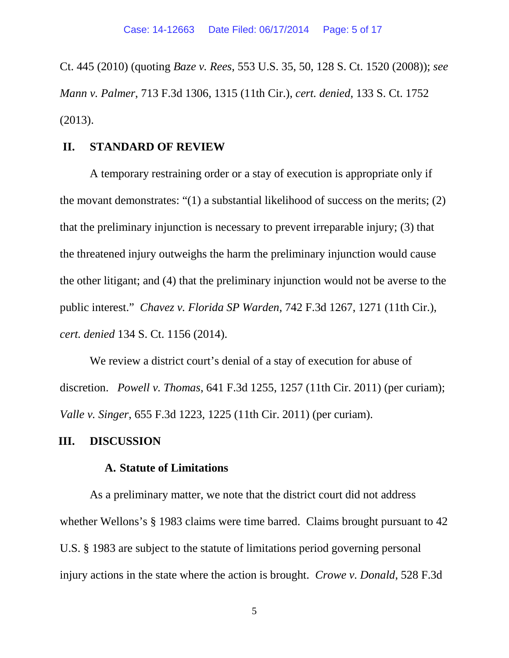Ct. 445 (2010) (quoting *Baze v. Rees*, 553 U.S. 35, 50, 128 S. Ct. 1520 (2008)); *see Mann v. Palmer*, 713 F.3d 1306, 1315 (11th Cir.), *cert. denied*, 133 S. Ct. 1752 (2013).

## **II. STANDARD OF REVIEW**

A temporary restraining order or a stay of execution is appropriate only if the movant demonstrates: "(1) a substantial likelihood of success on the merits; (2) that the preliminary injunction is necessary to prevent irreparable injury; (3) that the threatened injury outweighs the harm the preliminary injunction would cause the other litigant; and (4) that the preliminary injunction would not be averse to the public interest." *Chavez v. Florida SP Warden*, 742 F.3d 1267, 1271 (11th Cir.), *cert. denied* 134 S. Ct. 1156 (2014).

We review a district court's denial of a stay of execution for abuse of discretion. *Powell v. Thomas*, 641 F.3d 1255, 1257 (11th Cir. 2011) (per curiam); *Valle v. Singer*, 655 F.3d 1223, 1225 (11th Cir. 2011) (per curiam).

## **III. DISCUSSION**

## **A. Statute of Limitations**

As a preliminary matter, we note that the district court did not address whether Wellons's § 1983 claims were time barred. Claims brought pursuant to 42 U.S. § 1983 are subject to the statute of limitations period governing personal injury actions in the state where the action is brought. *Crowe v. Donald*, 528 F.3d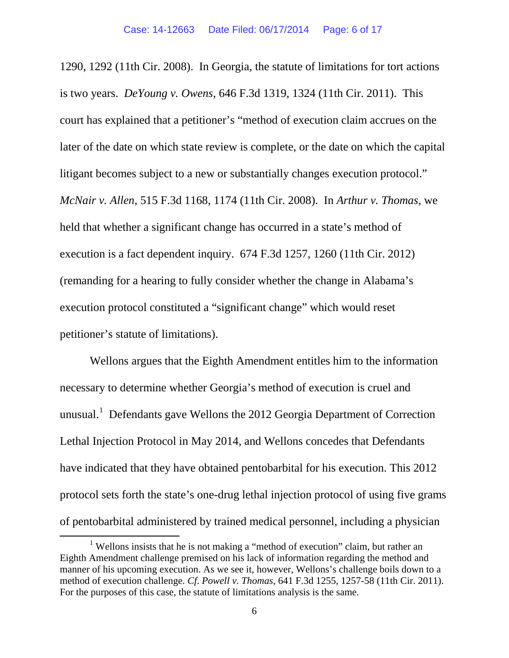1290, 1292 (11th Cir. 2008). In Georgia, the statute of limitations for tort actions is two years. *DeYoung v. Owens*, 646 F.3d 1319, 1324 (11th Cir. 2011). This court has explained that a petitioner's "method of execution claim accrues on the later of the date on which state review is complete, or the date on which the capital litigant becomes subject to a new or substantially changes execution protocol." *McNair v. Allen*, 515 F.3d 1168, 1174 (11th Cir. 2008). In *Arthur v. Thomas*, we held that whether a significant change has occurred in a state's method of execution is a fact dependent inquiry. 674 F.3d 1257, 1260 (11th Cir. 2012) (remanding for a hearing to fully consider whether the change in Alabama's execution protocol constituted a "significant change" which would reset petitioner's statute of limitations).

Wellons argues that the Eighth Amendment entitles him to the information necessary to determine whether Georgia's method of execution is cruel and unusual.<sup>[1](#page-5-0)</sup> Defendants gave Wellons the 2012 Georgia Department of Correction Lethal Injection Protocol in May 2014, and Wellons concedes that Defendants have indicated that they have obtained pentobarbital for his execution. This 2012 protocol sets forth the state's one-drug lethal injection protocol of using five grams of pentobarbital administered by trained medical personnel, including a physician

<span id="page-5-0"></span><sup>&</sup>lt;sup>1</sup> Wellons insists that he is not making a "method of execution" claim, but rather an Eighth Amendment challenge premised on his lack of information regarding the method and manner of his upcoming execution. As we see it, however, Wellons's challenge boils down to a method of execution challenge. *Cf*. *Powell v. Thomas*, 641 F.3d 1255, 1257-58 (11th Cir. 2011). For the purposes of this case, the statute of limitations analysis is the same.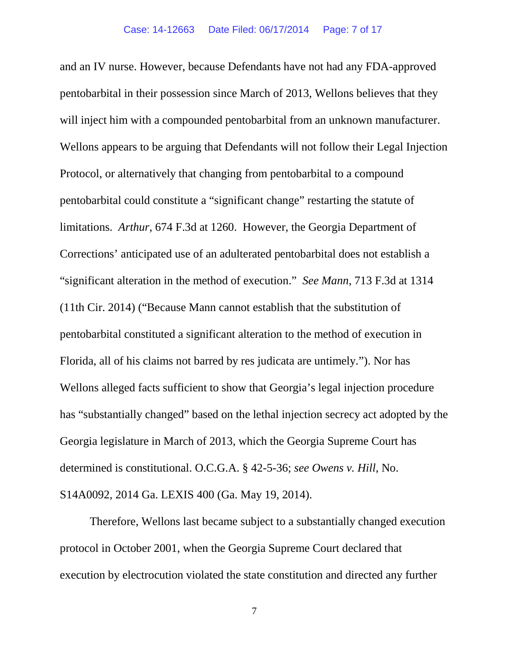and an IV nurse. However, because Defendants have not had any FDA-approved pentobarbital in their possession since March of 2013, Wellons believes that they will inject him with a compounded pentobarbital from an unknown manufacturer. Wellons appears to be arguing that Defendants will not follow their Legal Injection Protocol, or alternatively that changing from pentobarbital to a compound pentobarbital could constitute a "significant change" restarting the statute of limitations. *Arthur*, 674 F.3d at 1260. However, the Georgia Department of Corrections' anticipated use of an adulterated pentobarbital does not establish a "significant alteration in the method of execution." *See Mann*, 713 F.3d at 1314 (11th Cir. 2014) ("Because Mann cannot establish that the substitution of pentobarbital constituted a significant alteration to the method of execution in Florida, all of his claims not barred by res judicata are untimely."). Nor has Wellons alleged facts sufficient to show that Georgia's legal injection procedure has "substantially changed" based on the lethal injection secrecy act adopted by the Georgia legislature in March of 2013, which the Georgia Supreme Court has determined is constitutional. O.C.G.A. § 42-5-36; *see Owens v. Hill*, No. S14A0092, 2014 Ga. LEXIS 400 (Ga. May 19, 2014).

Therefore, Wellons last became subject to a substantially changed execution protocol in October 2001, when the Georgia Supreme Court declared that execution by electrocution violated the state constitution and directed any further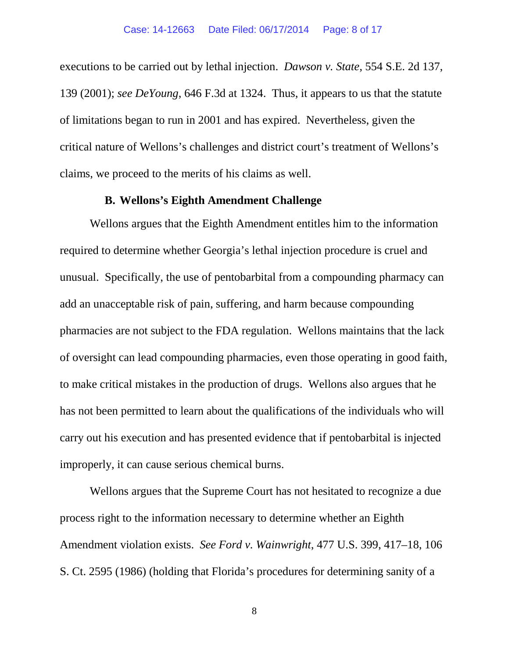executions to be carried out by lethal injection. *Dawson v. State*, 554 S.E. 2d 137, 139 (2001); *see DeYoung*, 646 F.3d at 1324. Thus, it appears to us that the statute of limitations began to run in 2001 and has expired. Nevertheless, given the critical nature of Wellons's challenges and district court's treatment of Wellons's claims, we proceed to the merits of his claims as well.

### **B. Wellons's Eighth Amendment Challenge**

Wellons argues that the Eighth Amendment entitles him to the information required to determine whether Georgia's lethal injection procedure is cruel and unusual. Specifically, the use of pentobarbital from a compounding pharmacy can add an unacceptable risk of pain, suffering, and harm because compounding pharmacies are not subject to the FDA regulation. Wellons maintains that the lack of oversight can lead compounding pharmacies, even those operating in good faith, to make critical mistakes in the production of drugs. Wellons also argues that he has not been permitted to learn about the qualifications of the individuals who will carry out his execution and has presented evidence that if pentobarbital is injected improperly, it can cause serious chemical burns.

Wellons argues that the Supreme Court has not hesitated to recognize a due process right to the information necessary to determine whether an Eighth Amendment violation exists. *See Ford v. Wainwright*, 477 U.S. 399, 417–18, 106 S. Ct. 2595 (1986) (holding that Florida's procedures for determining sanity of a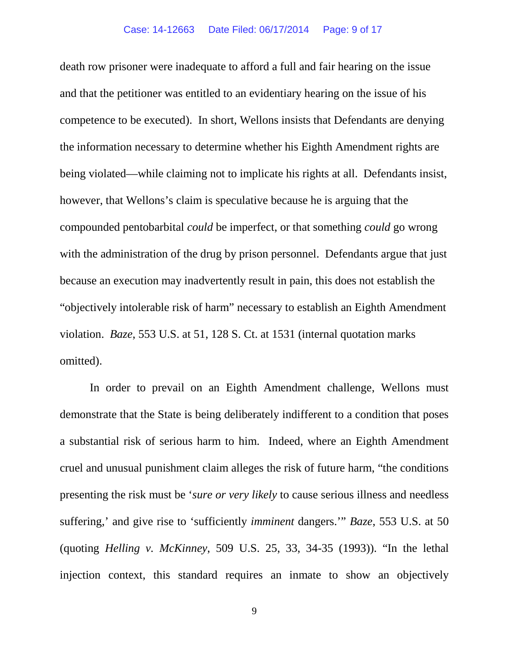death row prisoner were inadequate to afford a full and fair hearing on the issue and that the petitioner was entitled to an evidentiary hearing on the issue of his competence to be executed). In short, Wellons insists that Defendants are denying the information necessary to determine whether his Eighth Amendment rights are being violated—while claiming not to implicate his rights at all. Defendants insist, however, that Wellons's claim is speculative because he is arguing that the compounded pentobarbital *could* be imperfect, or that something *could* go wrong with the administration of the drug by prison personnel. Defendants argue that just because an execution may inadvertently result in pain, this does not establish the "objectively intolerable risk of harm" necessary to establish an Eighth Amendment violation. *Baze*, 553 U.S. at 51, 128 S. Ct. at 1531 (internal quotation marks omitted).

In order to prevail on an Eighth Amendment challenge, Wellons must demonstrate that the State is being deliberately indifferent to a condition that poses a substantial risk of serious harm to him. Indeed, where an Eighth Amendment cruel and unusual punishment claim alleges the risk of future harm, "the conditions presenting the risk must be '*sure or very likely* to cause serious illness and needless suffering,' and give rise to 'sufficiently *imminent* dangers.'" *Baze*, 553 U.S. at 50 (quoting *Helling v. McKinney*, 509 U.S. 25, 33, 34-35 (1993)). "In the lethal injection context, this standard requires an inmate to show an objectively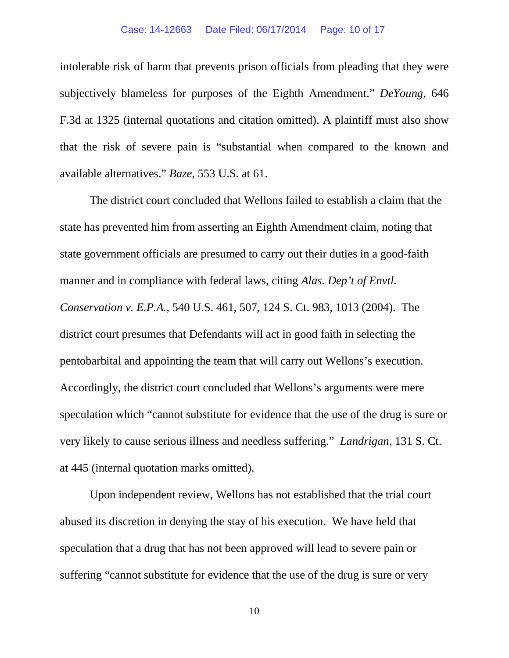#### Case: 14-12663 Date Filed: 06/17/2014 Page: 10 of 17

intolerable risk of harm that prevents prison officials from pleading that they were subjectively blameless for purposes of the Eighth Amendment." *DeYoung*, 646 F.3d at 1325 (internal quotations and citation omitted). A plaintiff must also show that the risk of severe pain is "substantial when compared to the known and available alternatives." *Baze*, 553 U.S. at 61.

The district court concluded that Wellons failed to establish a claim that the state has prevented him from asserting an Eighth Amendment claim, noting that state government officials are presumed to carry out their duties in a good-faith manner and in compliance with federal laws, citing *Alas. Dep't of Envtl. Conservation v. E.P.A.*, 540 U.S. 461, 507, 124 S. Ct. 983, 1013 (2004). The district court presumes that Defendants will act in good faith in selecting the pentobarbital and appointing the team that will carry out Wellons's execution. Accordingly, the district court concluded that Wellons's arguments were mere speculation which "cannot substitute for evidence that the use of the drug is sure or very likely to cause serious illness and needless suffering." *Landrigan*, 131 S. Ct. at 445 (internal quotation marks omitted).

Upon independent review, Wellons has not established that the trial court abused its discretion in denying the stay of his execution. We have held that speculation that a drug that has not been approved will lead to severe pain or suffering "cannot substitute for evidence that the use of the drug is sure or very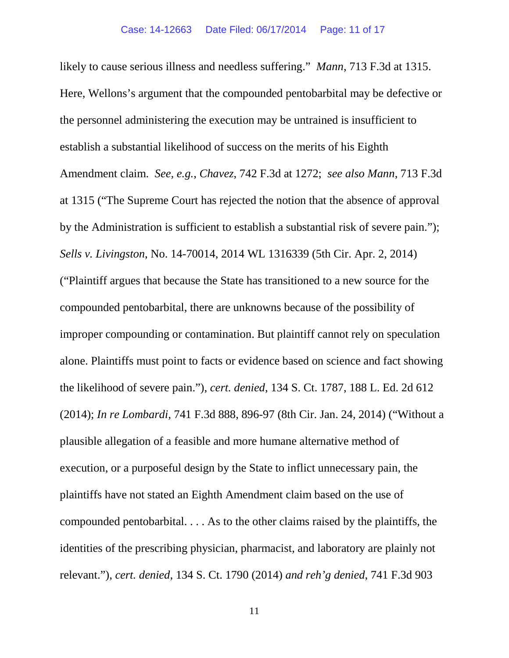likely to cause serious illness and needless suffering." *Mann*, 713 F.3d at 1315. Here, Wellons's argument that the compounded pentobarbital may be defective or the personnel administering the execution may be untrained is insufficient to establish a substantial likelihood of success on the merits of his Eighth Amendment claim. *See, e.g.*, *Chavez*, 742 F.3d at 1272; *see also Mann*, 713 F.3d at 1315 ("The Supreme Court has rejected the notion that the absence of approval by the Administration is sufficient to establish a substantial risk of severe pain."); *Sells v. Livingston*, No. 14-70014, 2014 WL 1316339 (5th Cir. Apr. 2, 2014) ("Plaintiff argues that because the State has transitioned to a new source for the compounded pentobarbital, there are unknowns because of the possibility of improper compounding or contamination. But plaintiff cannot rely on speculation alone. Plaintiffs must point to facts or evidence based on science and fact showing the likelihood of severe pain."), *cert. denied*, 134 S. Ct. 1787, 188 L. Ed. 2d 612 (2014); *In re Lombardi*, 741 F.3d 888, 896-97 (8th Cir. Jan. 24, 2014) ("Without a plausible allegation of a feasible and more humane alternative method of execution, or a purposeful design by the State to inflict unnecessary pain, the plaintiffs have not stated an Eighth Amendment claim based on the use of compounded pentobarbital. . . . As to the other claims raised by the plaintiffs, the identities of the prescribing physician, pharmacist, and laboratory are plainly not relevant."), *cert. denied*, 134 S. Ct. 1790 (2014) *and reh'g denied*, 741 F.3d 903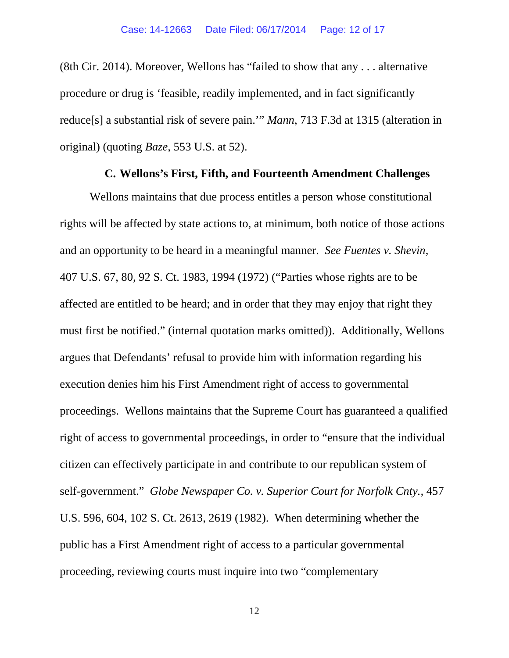(8th Cir. 2014). Moreover, Wellons has "failed to show that any . . . alternative procedure or drug is 'feasible, readily implemented, and in fact significantly reduce[s] a substantial risk of severe pain.'" *Mann*, 713 F.3d at 1315 (alteration in original) (quoting *Baze*, 553 U.S. at 52).

### **C. Wellons's First, Fifth, and Fourteenth Amendment Challenges**

Wellons maintains that due process entitles a person whose constitutional rights will be affected by state actions to, at minimum, both notice of those actions and an opportunity to be heard in a meaningful manner. *See Fuentes v. Shevin*, 407 U.S. 67, 80, 92 S. Ct. 1983, 1994 (1972) ("Parties whose rights are to be affected are entitled to be heard; and in order that they may enjoy that right they must first be notified." (internal quotation marks omitted)). Additionally, Wellons argues that Defendants' refusal to provide him with information regarding his execution denies him his First Amendment right of access to governmental proceedings. Wellons maintains that the Supreme Court has guaranteed a qualified right of access to governmental proceedings, in order to "ensure that the individual citizen can effectively participate in and contribute to our republican system of self-government." *Globe Newspaper Co. v. Superior Court for Norfolk Cnty.,* 457 U.S. 596, 604, 102 S. Ct. 2613, 2619 (1982). When determining whether the public has a First Amendment right of access to a particular governmental proceeding, reviewing courts must inquire into two "complementary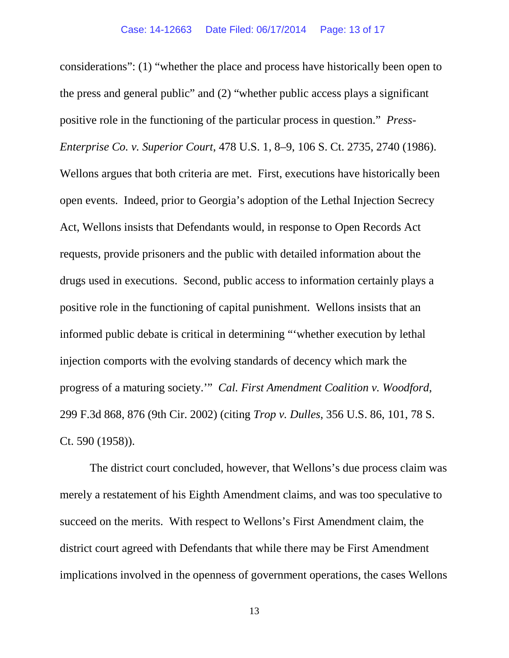considerations": (1) "whether the place and process have historically been open to the press and general public" and (2) "whether public access plays a significant positive role in the functioning of the particular process in question." *Press-Enterprise Co. v. Superior Court*, 478 U.S. 1, 8–9, 106 S. Ct. 2735, 2740 (1986). Wellons argues that both criteria are met. First, executions have historically been open events. Indeed, prior to Georgia's adoption of the Lethal Injection Secrecy Act, Wellons insists that Defendants would, in response to Open Records Act requests, provide prisoners and the public with detailed information about the drugs used in executions. Second, public access to information certainly plays a positive role in the functioning of capital punishment. Wellons insists that an informed public debate is critical in determining "'whether execution by lethal injection comports with the evolving standards of decency which mark the progress of a maturing society.'" *Cal. First Amendment Coalition v. Woodford*, 299 F.3d 868, 876 (9th Cir. 2002) (citing *Trop v. Dulles*, 356 U.S. 86, 101, 78 S. Ct. 590 (1958)).

The district court concluded, however, that Wellons's due process claim was merely a restatement of his Eighth Amendment claims, and was too speculative to succeed on the merits. With respect to Wellons's First Amendment claim, the district court agreed with Defendants that while there may be First Amendment implications involved in the openness of government operations, the cases Wellons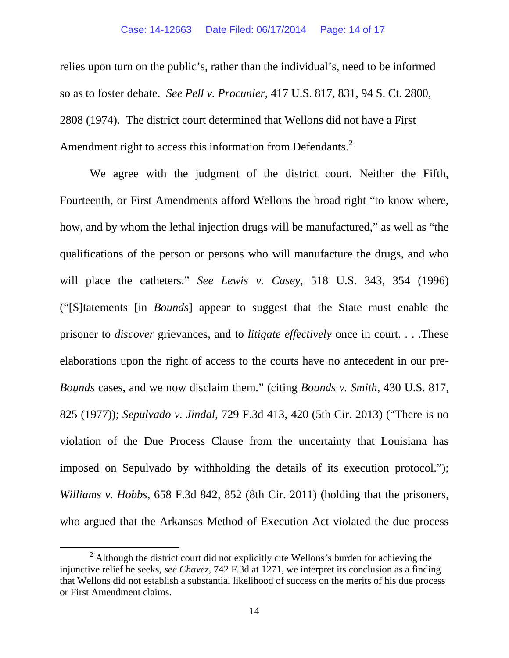relies upon turn on the public's, rather than the individual's, need to be informed so as to foster debate. *See Pell v. Procunier*, 417 U.S. 817, 831, 94 S. Ct. 2800, 2808 (1974). The district court determined that Wellons did not have a First Amendment right to access this information from Defendants.<sup>[2](#page-13-0)</sup>

We agree with the judgment of the district court. Neither the Fifth, Fourteenth, or First Amendments afford Wellons the broad right "to know where, how, and by whom the lethal injection drugs will be manufactured," as well as "the qualifications of the person or persons who will manufacture the drugs, and who will place the catheters." *See Lewis v. Casey*, 518 U.S. 343, 354 (1996) ("[S]tatements [in *Bounds*] appear to suggest that the State must enable the prisoner to *discover* grievances, and to *litigate effectively* once in court. . . .These elaborations upon the right of access to the courts have no antecedent in our pre-*Bounds* cases, and we now disclaim them." (citing *Bounds v. Smith*, 430 U.S. 817, 825 (1977)); *Sepulvado v. Jindal*, 729 F.3d 413, 420 (5th Cir. 2013) ("There is no violation of the Due Process Clause from the uncertainty that Louisiana has imposed on Sepulvado by withholding the details of its execution protocol."); *Williams v. Hobbs*, 658 F.3d 842, 852 (8th Cir. 2011) (holding that the prisoners, who argued that the Arkansas Method of Execution Act violated the due process

<span id="page-13-0"></span> $2$  Although the district court did not explicitly cite Wellons's burden for achieving the injunctive relief he seeks, *see Chavez*, 742 F.3d at 1271, we interpret its conclusion as a finding that Wellons did not establish a substantial likelihood of success on the merits of his due process or First Amendment claims.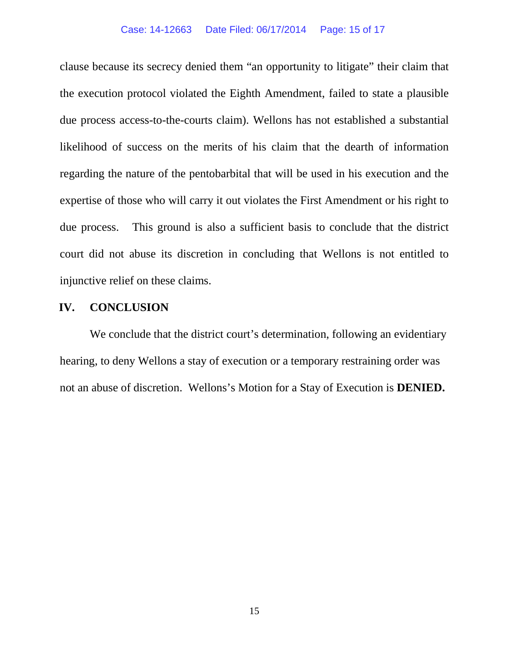#### Case: 14-12663 Date Filed: 06/17/2014 Page: 15 of 17

clause because its secrecy denied them "an opportunity to litigate" their claim that the execution protocol violated the Eighth Amendment, failed to state a plausible due process access-to-the-courts claim). Wellons has not established a substantial likelihood of success on the merits of his claim that the dearth of information regarding the nature of the pentobarbital that will be used in his execution and the expertise of those who will carry it out violates the First Amendment or his right to due process. This ground is also a sufficient basis to conclude that the district court did not abuse its discretion in concluding that Wellons is not entitled to injunctive relief on these claims.

# **IV. CONCLUSION**

We conclude that the district court's determination, following an evidentiary hearing, to deny Wellons a stay of execution or a temporary restraining order was not an abuse of discretion. Wellons's Motion for a Stay of Execution is **DENIED.**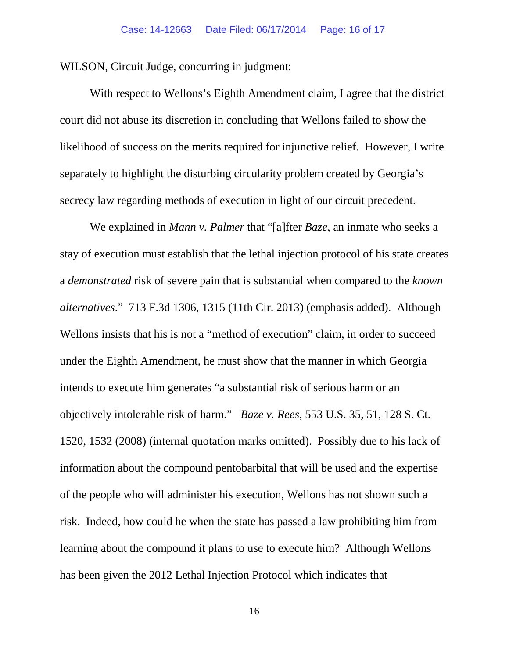WILSON, Circuit Judge, concurring in judgment:

With respect to Wellons's Eighth Amendment claim, I agree that the district court did not abuse its discretion in concluding that Wellons failed to show the likelihood of success on the merits required for injunctive relief. However, I write separately to highlight the disturbing circularity problem created by Georgia's secrecy law regarding methods of execution in light of our circuit precedent.

We explained in *Mann v. Palmer* that "[a]fter *Baze*, an inmate who seeks a stay of execution must establish that the lethal injection protocol of his state creates a *demonstrated* risk of severe pain that is substantial when compared to the *known alternatives*." 713 F.3d 1306, 1315 (11th Cir. 2013) (emphasis added). Although Wellons insists that his is not a "method of execution" claim, in order to succeed under the Eighth Amendment, he must show that the manner in which Georgia intends to execute him generates "a substantial risk of serious harm or an objectively intolerable risk of harm." *Baze v. Rees*, 553 U.S. 35, 51, 128 S. Ct. 1520, 1532 (2008) (internal quotation marks omitted). Possibly due to his lack of information about the compound pentobarbital that will be used and the expertise of the people who will administer his execution, Wellons has not shown such a risk. Indeed, how could he when the state has passed a law prohibiting him from learning about the compound it plans to use to execute him? Although Wellons has been given the 2012 Lethal Injection Protocol which indicates that